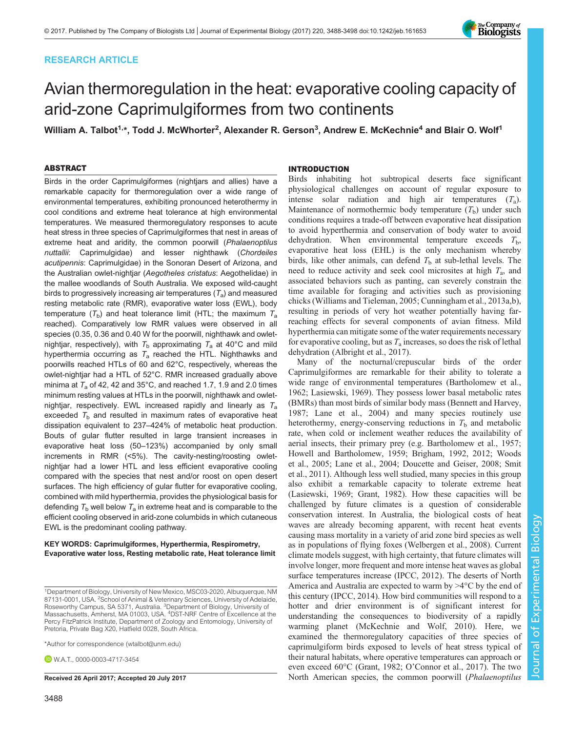# RESEARCH ARTICLE



# Avian thermoregulation in the heat: evaporative cooling capacity of arid-zone Caprimulgiformes from two continents

William A. Talbot<sup>1,</sup>\*, Todd J. McWhorter<sup>2</sup>, Alexander R. Gerson<sup>3</sup>, Andrew E. McKechnie<sup>4</sup> and Blair O. Wolf<sup>1</sup>

# ABSTRACT

Birds in the order Caprimulgiformes (nightjars and allies) have a remarkable capacity for thermoregulation over a wide range of environmental temperatures, exhibiting pronounced heterothermy in cool conditions and extreme heat tolerance at high environmental temperatures. We measured thermoregulatory responses to acute heat stress in three species of Caprimulgiformes that nest in areas of extreme heat and aridity, the common poorwill (Phalaenoptilus nuttallii: Caprimulgidae) and lesser nighthawk (Chordeiles acutipennis: Caprimulgidae) in the Sonoran Desert of Arizona, and the Australian owlet-nightjar (Aegotheles cristatus: Aegothelidae) in the mallee woodlands of South Australia. We exposed wild-caught birds to progressively increasing air temperatures  $(T_a)$  and measured resting metabolic rate (RMR), evaporative water loss (EWL), body temperature  $(T_b)$  and heat tolerance limit (HTL; the maximum  $T_a$ reached). Comparatively low RMR values were observed in all species (0.35, 0.36 and 0.40 W for the poorwill, nighthawk and owletnightjar, respectively), with  $T_{\text{b}}$  approximating  $T_{\text{a}}$  at 40°C and mild hyperthermia occurring as  $T_a$  reached the HTL. Nighthawks and poorwills reached HTLs of 60 and 62°C, respectively, whereas the owlet-nightjar had a HTL of 52°C. RMR increased gradually above minima at  $T_a$  of 42, 42 and 35°C, and reached 1.7, 1.9 and 2.0 times minimum resting values at HTLs in the poorwill, nighthawk and owletnightjar, respectively. EWL increased rapidly and linearly as  $T_a$ exceeded  $T<sub>b</sub>$  and resulted in maximum rates of evaporative heat dissipation equivalent to 237–424% of metabolic heat production. Bouts of gular flutter resulted in large transient increases in evaporative heat loss (50–123%) accompanied by only small increments in RMR (<5%). The cavity-nesting/roosting owletnightjar had a lower HTL and less efficient evaporative cooling compared with the species that nest and/or roost on open desert surfaces. The high efficiency of gular flutter for evaporative cooling, combined with mild hyperthermia, provides the physiological basis for defending  $T_b$  well below  $T_a$  in extreme heat and is comparable to the efficient cooling observed in arid-zone columbids in which cutaneous EWL is the predominant cooling pathway.

#### KEY WORDS: Caprimulgiformes, Hyperthermia, Respirometry, Evaporative water loss, Resting metabolic rate, Heat tolerance limit

\*Author for correspondence [\(wtalbot@unm.edu\)](mailto:wtalbot@unm.edu)

**D** W A T [0000-0003-4717-3454](http://orcid.org/0000-0003-4717-3454)

## INTRODUCTION

Birds inhabiting hot subtropical deserts face significant physiological challenges on account of regular exposure to intense solar radiation and high air temperatures  $(T_a)$ . Maintenance of normothermic body temperature  $(T<sub>b</sub>)$  under such conditions requires a trade-off between evaporative heat dissipation to avoid hyperthermia and conservation of body water to avoid dehydration. When environmental temperature exceeds  $T<sub>b</sub>$ , evaporative heat loss (EHL) is the only mechanism whereby birds, like other animals, can defend  $T<sub>b</sub>$  at sub-lethal levels. The need to reduce activity and seek cool microsites at high  $T_a$ , and associated behaviors such as panting, can severely constrain the time available for foraging and activities such as provisioning chicks ([Williams and Tieleman, 2005](#page-10-0); [Cunningham et al., 2013a](#page-9-0),[b\)](#page-9-0), resulting in periods of very hot weather potentially having farreaching effects for several components of avian fitness. Mild hyperthermia can mitigate some of the water requirements necessary for evaporative cooling, but as  $T_a$  increases, so does the risk of lethal dehydration (Albright et al., 2017).

Many of the nocturnal/crepuscular birds of the order Caprimulgiformes are remarkable for their ability to tolerate a wide range of environmental temperatures [\(Bartholomew et al.,](#page-9-0) [1962; Lasiewski, 1969\)](#page-9-0). They possess lower basal metabolic rates (BMRs) than most birds of similar body mass [\(Bennett and Harvey,](#page-9-0) [1987; Lane et al., 2004\)](#page-9-0) and many species routinely use heterothermy, energy-conserving reductions in  $T<sub>b</sub>$  and metabolic rate, when cold or inclement weather reduces the availability of aerial insects, their primary prey (e.g. [Bartholomew et al., 1957](#page-9-0); [Howell and Bartholomew, 1959; Brigham, 1992, 2012;](#page-9-0) [Woods](#page-10-0) [et al., 2005](#page-10-0); [Lane et al., 2004; Doucette and Geiser, 2008](#page-9-0); [Smit](#page-10-0) [et al., 2011](#page-10-0)). Although less well studied, many species in this group also exhibit a remarkable capacity to tolerate extreme heat [\(Lasiewski, 1969; Grant, 1982](#page-9-0)). How these capacities will be challenged by future climates is a question of considerable conservation interest. In Australia, the biological costs of heat waves are already becoming apparent, with recent heat events causing mass mortality in a variety of arid zone bird species as well as in populations of flying foxes [\(Welbergen et al., 2008](#page-10-0)). Current climate models suggest, with high certainty, that future climates will involve longer, more frequent and more intense heat waves as global surface temperatures increase ([IPCC, 2012](#page-9-0)). The deserts of North America and Australia are expected to warm by >4°C by the end of this century [\(IPCC, 2014\)](#page-9-0). How bird communities will respond to a hotter and drier environment is of significant interest for understanding the consequences to biodiversity of a rapidly warming planet [\(McKechnie and Wolf, 2010\)](#page-9-0). Here, we examined the thermoregulatory capacities of three species of caprimulgiform birds exposed to levels of heat stress typical of their natural habitats, where operative temperatures can approach or even exceed 60°C ([Grant, 1982](#page-9-0); O'[Connor et al., 2017\)](#page-10-0). The two Received 26 April 2017; Accepted 20 July 2017 North American species, the common poorwill (Phalaenoptilus

<sup>1</sup>Department of Biology, University of New Mexico, MSC03-2020, Albuquerque, NM 87131-0001, USA. <sup>2</sup>School of Animal & Veterinary Sciences, University of Adelaide, Roseworthy Campus, SA 5371, Australia. <sup>3</sup>Department of Biology, University of<br>Massachusetts, Amherst, MA 01003, USA. <sup>4</sup>DST-NRF Centre of Excellence at the Percy FitzPatrick Institute, Department of Zoology and Entomology, University of Pretoria, Private Bag X20, Hatfield 0028, South Africa.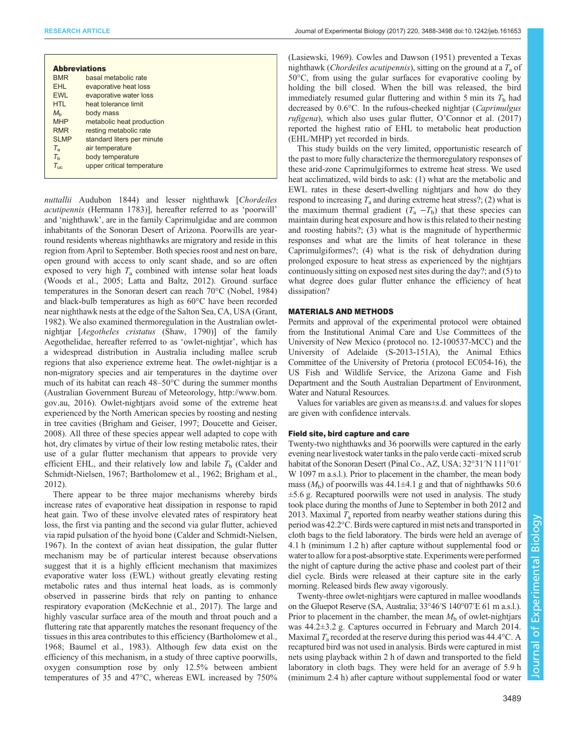| <b>Abbreviations</b> |                            |
|----------------------|----------------------------|
| <b>BMR</b>           | basal metabolic rate       |
| EHL                  | evaporative heat loss      |
| <b>FWI</b>           | evaporative water loss     |
| HTI                  | heat tolerance limit       |
| $M_h$                | body mass                  |
| <b>MHP</b>           | metabolic heat production  |
| <b>RMR</b>           | resting metabolic rate     |
| <b>SLMP</b>          | standard liters per minute |
| $T_{\rm a}$          | air temperature            |
| $T_{\rm b}$          | body temperature           |
| $T_{\rm uc}$         | upper critical temperature |
|                      |                            |

nuttallii Audubon 1844) and lesser nighthawk [Chordeiles] acutipennis (Hermann 1783)], hereafter referred to as 'poorwill' and 'nighthawk', are in the family Caprimulgidae and are common inhabitants of the Sonoran Desert of Arizona. Poorwills are yearround residents whereas nighthawks are migratory and reside in this region from April to September. Both species roost and nest on bare, open ground with access to only scant shade, and so are often exposed to very high  $T_a$  combined with intense solar heat loads [\(Woods et al., 2005;](#page-10-0) [Latta and Baltz, 2012](#page-9-0)). Ground surface temperatures in the Sonoran desert can reach 70°C [\(Nobel, 1984\)](#page-10-0) and black-bulb temperatures as high as 60°C have been recorded near nighthawk nests at the edge of the Salton Sea, CA, USA [\(Grant,](#page-9-0) [1982](#page-9-0)). We also examined thermoregulation in the Australian owletnightjar [Aegotheles cristatus (Shaw, 1790)] of the family Aegothelidae, hereafter referred to as 'owlet-nightjar', which has a widespread distribution in Australia including mallee scrub regions that also experience extreme heat. The owlet-nightjar is a non-migratory species and air temperatures in the daytime over much of its habitat can reach 48–50°C during the summer months (Australian Government Bureau of Meteorology, [http://www.bom.](http://www.bom.gov.au) [gov.au](http://www.bom.gov.au), 2016). Owlet-nightjars avoid some of the extreme heat experienced by the North American species by roosting and nesting in tree cavities ([Brigham and Geiser, 1997; Doucette and Geiser,](#page-9-0) [2008](#page-9-0)). All three of these species appear well adapted to cope with hot, dry climates by virtue of their low resting metabolic rates, their use of a gular flutter mechanism that appears to provide very efficient EHL, and their relatively low and labile  $T<sub>b</sub>$  ([Calder and](#page-9-0) [Schmidt-Nielsen, 1967](#page-9-0); [Bartholomew et al., 1962; Brigham et al.,](#page-9-0) [2012](#page-9-0)).

There appear to be three major mechanisms whereby birds increase rates of evaporative heat dissipation in response to rapid heat gain. Two of these involve elevated rates of respiratory heat loss, the first via panting and the second via gular flutter, achieved via rapid pulsation of the hyoid bone [\(Calder and Schmidt-Nielsen,](#page-9-0) [1967](#page-9-0)). In the context of avian heat dissipation, the gular flutter mechanism may be of particular interest because observations suggest that it is a highly efficient mechanism that maximizes evaporative water loss (EWL) without greatly elevating resting metabolic rates and thus internal heat loads, as is commonly observed in passerine birds that rely on panting to enhance respiratory evaporation ([McKechnie et al., 2017\)](#page-10-0). The large and highly vascular surface area of the mouth and throat pouch and a fluttering rate that apparently matches the resonant frequency of the tissues in this area contributes to this efficiency [\(Bartholomew et al.,](#page-9-0) [1968](#page-9-0); [Baumel et al., 1983](#page-9-0)). Although few data exist on the efficiency of this mechanism, in a study of three captive poorwills, oxygen consumption rose by only 12.5% between ambient temperatures of 35 and 47°C, whereas EWL increased by 750% [\(Lasiewski, 1969](#page-9-0)). [Cowles and Dawson \(1951\)](#page-9-0) prevented a Texas nighthawk (*Chordeiles acutipennis*), sitting on the ground at a  $T_a$  of 50°C, from using the gular surfaces for evaporative cooling by holding the bill closed. When the bill was released, the bird immediately resumed gular fluttering and within 5 min its  $T<sub>b</sub>$  had decreased by 0.6°C. In the rufous-cheeked nightjar (Caprimulgus rufigena), which also uses gular flutter, O'[Connor et al. \(2017\)](#page-10-0) reported the highest ratio of EHL to metabolic heat production (EHL/MHP) yet recorded in birds.

This study builds on the very limited, opportunistic research of the past to more fully characterize the thermoregulatory responses of these arid-zone Caprimulgiformes to extreme heat stress. We used heat acclimatized, wild birds to ask: (1) what are the metabolic and EWL rates in these desert-dwelling nightjars and how do they respond to increasing  $T_a$  and during extreme heat stress?; (2) what is the maximum thermal gradient  $(T_a - T_b)$  that these species can maintain during heat exposure and how is this related to their nesting and roosting habits?; (3) what is the magnitude of hyperthermic responses and what are the limits of heat tolerance in these Caprimulgiformes?; (4) what is the risk of dehydration during prolonged exposure to heat stress as experienced by the nightjars continuously sitting on exposed nest sites during the day?; and (5) to what degree does gular flutter enhance the efficiency of heat dissipation?

## MATERIALS AND METHODS

Permits and approval of the experimental protocol were obtained from the Institutional Animal Care and Use Committees of the University of New Mexico (protocol no. 12-100537-MCC) and the University of Adelaide (S-2013-151A), the Animal Ethics Committee of the University of Pretoria (protocol EC054-16), the US Fish and Wildlife Service, the Arizona Game and Fish Department and the South Australian Department of Environment, Water and Natural Resources.

Values for variables are given as means±s.d. and values for slopes are given with confidence intervals.

## Field site, bird capture and care

Twenty-two nighthawks and 36 poorwills were captured in the early evening near livestock water tanks in the palo verde cacti–mixed scrub habitat of the Sonoran Desert (Pinal Co., AZ, USA; 32°31′N 111°01′ W 1097 m a.s.l.). Prior to placement in the chamber, the mean body mass  $(M_b)$  of poorwills was 44.1 $\pm$ 4.1 g and that of nighthawks 50.6  $\pm$ 5.6 g. Recaptured poorwills were not used in analysis. The study took place during the months of June to September in both 2012 and 2013. Maximal  $T_a$  reported from nearby weather stations during this period was 42.2°C. Birds were captured in mist nets and transported in cloth bags to the field laboratory. The birds were held an average of 4.1 h (minimum 1.2 h) after capture without supplemental food or water to allow for a post-absorptive state. Experiments were performed the night of capture during the active phase and coolest part of their diel cycle. Birds were released at their capture site in the early morning. Released birds flew away vigorously.

Twenty-three owlet-nightjars were captured in mallee woodlands on the Gluepot Reserve (SA, Australia; 33°46′S 140°07′E 61 m a.s.l.). Prior to placement in the chamber, the mean  $M<sub>b</sub>$  of owlet-nightjars was 44.2±3.2 g. Captures occurred in February and March 2014. Maximal  $T_a$  recorded at the reserve during this period was 44.4 °C. A recaptured bird was not used in analysis. Birds were captured in mist nets using playback within 2 h of dawn and transported to the field laboratory in cloth bags. They were held for an average of 5.9 h (minimum 2.4 h) after capture without supplemental food or water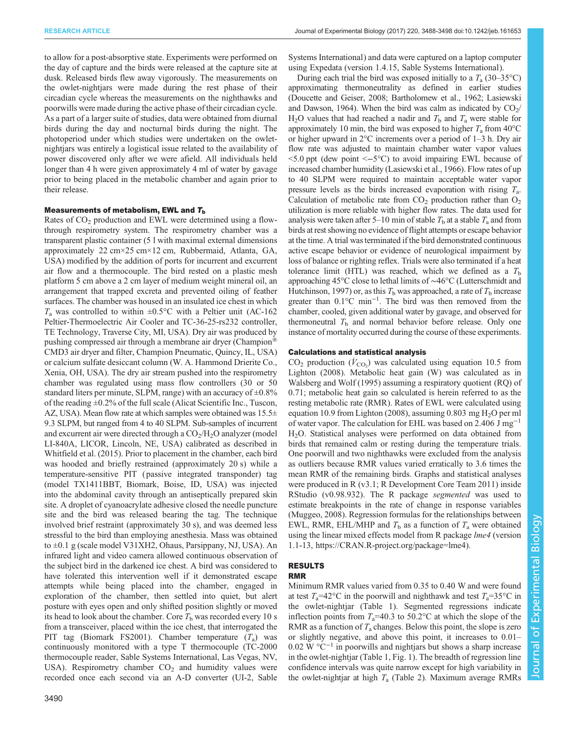to allow for a post-absorptive state. Experiments were performed on the day of capture and the birds were released at the capture site at dusk. Released birds flew away vigorously. The measurements on the owlet-nightjars were made during the rest phase of their circadian cycle whereas the measurements on the nighthawks and poorwills were made during the active phase of their circadian cycle. As a part of a larger suite of studies, data were obtained from diurnal birds during the day and nocturnal birds during the night. The photoperiod under which studies were undertaken on the owletnightjars was entirely a logistical issue related to the availability of power discovered only after we were afield. All individuals held longer than 4 h were given approximately 4 ml of water by gavage prior to being placed in the metabolic chamber and again prior to their release.

#### Measurements of metabolism, EWL and  $T<sub>b</sub>$

Rates of CO<sub>2</sub> production and EWL were determined using a flowthrough respirometry system. The respirometry chamber was a transparent plastic container (5 l with maximal external dimensions approximately 22 cm×25 cm×12 cm, Rubbermaid, Atlanta, GA, USA) modified by the addition of ports for incurrent and excurrent air flow and a thermocouple. The bird rested on a plastic mesh platform 5 cm above a 2 cm layer of medium weight mineral oil, an arrangement that trapped excreta and prevented oiling of feather surfaces. The chamber was housed in an insulated ice chest in which  $T_a$  was controlled to within  $\pm 0.5^{\circ}$ C with a Peltier unit (AC-162 Peltier-Thermoelectric Air Cooler and TC-36-25-rs232 controller, TE Technology, Traverse City, MI, USA). Dry air was produced by pushing compressed air through a membrane air dryer (Champion® CMD3 air dryer and filter, Champion Pneumatic, Quincy, IL, USA) or calcium sulfate desiccant column (W. A. Hammond Drierite Co., Xenia, OH, USA). The dry air stream pushed into the respirometry chamber was regulated using mass flow controllers (30 or 50 standard liters per minute, SLPM, range) with an accuracy of  $\pm 0.8\%$ of the reading ±0.2% of the full scale (Alicat Scientific Inc., Tuscon, AZ, USA). Mean flow rate at which samples were obtained was  $15.5\pm$ 9.3 SLPM, but ranged from 4 to 40 SLPM. Sub-samples of incurrent and excurrent air were directed through a  $CO<sub>2</sub>/H<sub>2</sub>O$  analyzer (model LI-840A, LICOR, Lincoln, NE, USA) calibrated as described in [Whitfield et al. \(2015\)](#page-10-0). Prior to placement in the chamber, each bird was hooded and briefly restrained (approximately 20 s) while a temperature-sensitive PIT ( passive integrated transponder) tag (model TX1411BBT, Biomark, Boise, ID, USA) was injected into the abdominal cavity through an antiseptically prepared skin site. A droplet of cyanoacrylate adhesive closed the needle puncture site and the bird was released bearing the tag. The technique involved brief restraint (approximately 30 s), and was deemed less stressful to the bird than employing anesthesia. Mass was obtained to ±0.1 g (scale model V31XH2, Ohaus, Parsippany, NJ, USA). An infrared light and video camera allowed continuous observation of the subject bird in the darkened ice chest. A bird was considered to have tolerated this intervention well if it demonstrated escape attempts while being placed into the chamber, engaged in exploration of the chamber, then settled into quiet, but alert posture with eyes open and only shifted position slightly or moved its head to look about the chamber. Core  $T<sub>b</sub>$  was recorded every 10 s from a transceiver, placed within the ice chest, that interrogated the PIT tag (Biomark FS2001). Chamber temperature  $(T_a)$  was continuously monitored with a type T thermocouple (TC-2000 thermocouple reader, Sable Systems International, Las Vegas, NV, USA). Respirometry chamber  $CO<sub>2</sub>$  and humidity values were recorded once each second via an A-D converter (UI-2, Sable

Systems International) and data were captured on a laptop computer using Expedata (version 1.4.15, Sable Systems International).

During each trial the bird was exposed initially to a  $T_a$  (30–35°C) approximating thermoneutrality as defined in earlier studies [\(Doucette and Geiser, 2008](#page-9-0); [Bartholomew et al., 1962; Lasiewski](#page-9-0) [and Dawson, 1964\)](#page-9-0). When the bird was calm as indicated by  $CO<sub>2</sub>/$  $H_2O$  values that had reached a nadir and  $T_b$  and  $T_a$  were stable for approximately 10 min, the bird was exposed to higher  $T_a$  from 40<sup>o</sup>C or higher upward in 2°C increments over a period of 1–3 h. Dry air flow rate was adjusted to maintain chamber water vapor values <5.0 ppt (dew point <−5°C) to avoid impairing EWL because of increased chamber humidity [\(Lasiewski et al., 1966\)](#page-9-0). Flow rates of up to 40 SLPM were required to maintain acceptable water vapor pressure levels as the birds increased evaporation with rising  $T_a$ . Calculation of metabolic rate from  $CO<sub>2</sub>$  production rather than  $O<sub>2</sub>$ utilization is more reliable with higher flow rates. The data used for analysis were taken after 5–10 min of stable  $T<sub>b</sub>$  at a stable  $T<sub>a</sub>$  and from birds at rest showing no evidence of flight attempts or escape behavior at the time. A trial was terminated if the bird demonstrated continuous active escape behavior or evidence of neurological impairment by loss of balance or righting reflex. Trials were also terminated if a heat tolerance limit (HTL) was reached, which we defined as a  $T<sub>b</sub>$ approaching 45°C close to lethal limits of ∼46°C (Lutterschmidt and Hutchinson, 1997) or, as this  $T<sub>b</sub>$  was approached, a rate of  $T<sub>b</sub>$  increase greater than 0.1°C min<sup>-1</sup>. The bird was then removed from the chamber, cooled, given additional water by gavage, and observed for thermoneutral  $T<sub>b</sub>$  and normal behavior before release. Only one instance of mortality occurred during the course of these experiments.

## Calculations and statistical analysis

 $CO<sub>2</sub>$  production ( $\dot{V}_{CO<sub>2</sub>}$ ) was calculated using equation 10.5 from [Lighton \(2008\).](#page-9-0) Metabolic heat gain (W) was calculated as in [Walsberg and Wolf \(1995\)](#page-10-0) assuming a respiratory quotient (RQ) of 0.71; metabolic heat gain so calculated is herein referred to as the resting metabolic rate (RMR). Rates of EWL were calculated using equation 10.9 from [Lighton \(2008\),](#page-9-0) assuming 0.803 mg  $H<sub>2</sub>O$  per ml of water vapor. The calculation for EHL was based on 2.406 J mg−<sup>1</sup> H<sub>2</sub>O. Statistical analyses were performed on data obtained from birds that remained calm or resting during the temperature trials. One poorwill and two nighthawks were excluded from the analysis as outliers because RMR values varied erratically to 3.6 times the mean RMR of the remaining birds. Graphs and statistical analyses were produced in R (v3.1; R Development Core Team 2011) inside RStudio (v0.98.932). The R package segmented was used to estimate breakpoints in the rate of change in response variables [\(Muggeo, 2008](#page-10-0)). Regression formulas for the relationships between EWL, RMR, EHL/MHP and  $T<sub>b</sub>$  as a function of  $T<sub>a</sub>$  were obtained using the linear mixed effects model from R package lme4 (version 1.1-13, https://CRAN.R-project.org/package=lme4).

#### RESULTS RMR

# Minimum RMR values varied from 0.35 to 0.40 W and were found at test  $T_a=42^{\circ}\text{C}$  in the poorwill and nighthawk and test  $T_a=35^{\circ}\text{C}$  in the owlet-nightjar ([Table 1](#page-3-0)). Segmented regressions indicate inflection points from  $T_a=40.3$  to 50.2°C at which the slope of the RMR as a function of  $T_a$  changes. Below this point, the slope is zero or slightly negative, and above this point, it increases to 0.01– 0.02 W °C−<sup>1</sup> in poorwills and nightjars but shows a sharp increase in the owlet-nightjar ([Table 1](#page-3-0), [Fig. 1](#page-4-0)). The breadth of regression line confidence intervals was quite narrow except for high variability in the owlet-nightjar at high  $T_a$  [\(Table 2](#page-3-0)). Maximum average RMRs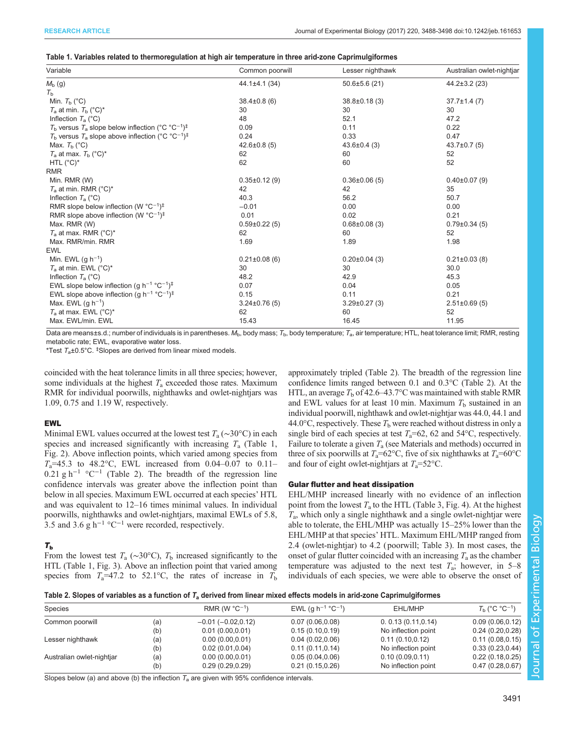<span id="page-3-0"></span>

|  | Table 1. Variables related to thermoregulation at high air temperature in three arid-zone Caprimulgiformes |  |
|--|------------------------------------------------------------------------------------------------------------|--|
|  |                                                                                                            |  |

| Variable                                                                                  | Common poorwill     | Lesser nighthawk    | Australian owlet-nightjar |
|-------------------------------------------------------------------------------------------|---------------------|---------------------|---------------------------|
| $M_{\rm b}$ (g)                                                                           | $44.1 \pm 4.1$ (34) | $50.6 \pm 5.6$ (21) | $44.2 \pm 3.2$ (23)       |
| $T_{\rm b}$                                                                               |                     |                     |                           |
| Min. $T_{\rm b}$ (°C)                                                                     | $38.4\pm0.8(6)$     | $38.8 \pm 0.18$ (3) | $37.7 \pm 1.4(7)$         |
| $T_a$ at min. $T_b$ (°C)*                                                                 | 30                  | 30                  | 30                        |
| Inflection $T_a$ (°C)                                                                     | 48                  | 52.1                | 47.2                      |
| $T_b$ versus $T_a$ slope below inflection (°C °C <sup>-1</sup> ) <sup>‡</sup>             | 0.09                | 0.11                | 0.22                      |
| $T_{\rm b}$ versus $T_{\rm a}$ slope above inflection (°C °C <sup>-1</sup> ) <sup>‡</sup> | 0.24                | 0.33                | 0.47                      |
| Max. $T_{\rm b}$ (°C)                                                                     | $42.6 \pm 0.8(5)$   | $43.6 \pm 0.4$ (3)  | $43.7 \pm 0.7$ (5)        |
| $T_a$ at max. $T_b$ (°C)*                                                                 | 62                  | 60                  | 52                        |
| HTL $(^{\circ}C)^{*}$                                                                     | 62                  | 60                  | 52                        |
| <b>RMR</b>                                                                                |                     |                     |                           |
| Min. RMR (W)                                                                              | $0.35 \pm 0.12$ (9) | $0.36\pm0.06(5)$    | $0.40\pm0.07(9)$          |
| $T_a$ at min. RMR (°C) <sup>*</sup>                                                       | 42                  | 42                  | 35                        |
| Inflection $T_a$ (°C)                                                                     | 40.3                | 56.2                | 50.7                      |
| RMR slope below inflection (W $^{\circ}$ C <sup>-1</sup> ) <sup>‡</sup>                   | $-0.01$             | 0.00                | 0.00                      |
| RMR slope above inflection (W $^{\circ}$ C <sup>-1</sup> ) <sup>‡</sup>                   | 0.01                | 0.02                | 0.21                      |
| Max. RMR (W)                                                                              | $0.59\pm0.22(5)$    | $0.68 \pm 0.08$ (3) | $0.79 \pm 0.34$ (5)       |
| $T_a$ at max. RMR (°C) <sup>*</sup>                                                       | 62                  | 60                  | 52                        |
| Max. RMR/min. RMR                                                                         | 1.69                | 1.89                | 1.98                      |
| <b>EWL</b>                                                                                |                     |                     |                           |
| Min. EWL $(g h^{-1})$                                                                     | $0.21 \pm 0.08$ (6) | $0.20 \pm 0.04$ (3) | $0.21 \pm 0.03$ (8)       |
| $T_a$ at min. EWL (°C) <sup>*</sup>                                                       | 30                  | 30                  | 30.0                      |
| Inflection $T_a$ (°C)                                                                     | 48.2                | 42.9                | 45.3                      |
| EWL slope below inflection (g h <sup>-1</sup> °C <sup>-1</sup> ) <sup>‡</sup>             | 0.07                | 0.04                | 0.05                      |
| EWL slope above inflection (g h <sup>-1</sup> °C <sup>-1</sup> ) <sup>‡</sup>             | 0.15                | 0.11                | 0.21                      |
| Max. EWL $(g h^{-1})$                                                                     | $3.24 \pm 0.76(5)$  | $3.29 \pm 0.27$ (3) | $2.51 \pm 0.69$ (5)       |
| $T_a$ at max. EWL (°C) <sup>*</sup>                                                       | 62                  | 60                  | 52                        |
| Max. EWL/min. EWL                                                                         | 15.43               | 16.45               | 11.95                     |

Data are means±s.d.; number of individuals is in parentheses.  $M_b$ , body mass;  $T_b$ , body temperature;  $T_a$ , air temperature; HTL, heat tolerance limit; RMR, resting metabolic rate; EWL, evaporative water loss.

\*Test  $T_a \pm 0.5$ °C. <sup>‡</sup>Slopes are derived from linear mixed models.

coincided with the heat tolerance limits in all three species; however, some individuals at the highest  $T_a$  exceeded those rates. Maximum RMR for individual poorwills, nighthawks and owlet-nightjars was 1.09, 0.75 and 1.19 W, respectively.

## EWL

Minimal EWL values occurred at the lowest test  $T_a (\sim 30^{\circ}C)$  in each species and increased significantly with increasing  $T_a$  (Table 1, [Fig. 2](#page-5-0)). Above inflection points, which varied among species from  $T_a$ =45.3 to 48.2°C, EWL increased from 0.04–0.07 to 0.11– 0.21 g h<sup>-1</sup> °C<sup>-1</sup> (Table 2). The breadth of the regression line confidence intervals was greater above the inflection point than below in all species. Maximum EWL occurred at each species' HTL and was equivalent to 12–16 times minimal values. In individual poorwills, nighthawks and owlet-nightjars, maximal EWLs of 5.8, 3.5 and 3.6 g h<sup>-1</sup> °C<sup>-1</sup> were recorded, respectively.

# $T_{\rm b}$

From the lowest test  $T_a$  (∼30°C),  $T_b$  increased significantly to the HTL (Table 1, [Fig. 3\)](#page-6-0). Above an inflection point that varied among species from  $T_a=47.2$  to 52.1°C, the rates of increase in  $T_b$ 

approximately tripled (Table 2). The breadth of the regression line confidence limits ranged between 0.1 and 0.3°C (Table 2). At the HTL, an average  $T<sub>b</sub>$  of 42.6–43.7°C was maintained with stable RMR and EWL values for at least 10 min. Maximum  $T<sub>b</sub>$  sustained in an individual poorwill, nighthawk and owlet-nightjar was 44.0, 44.1 and 44.0 $\degree$ C, respectively. These  $T_b$  were reached without distress in only a single bird of each species at test  $T_a=62$ , 62 and 54°C, respectively. Failure to tolerate a given  $T_a$  (see Materials and methods) occurred in three of six poorwills at  $T_a=62^{\circ}\text{C}$ , five of six nighthawks at  $T_a=60^{\circ}\text{C}$ and four of eight owlet-nightjars at  $T_a = 52^{\circ}$ C.

## Gular flutter and heat dissipation

EHL/MHP increased linearly with no evidence of an inflection point from the lowest  $T_a$  to the HTL ([Table 3](#page-4-0), [Fig. 4](#page-7-0)). At the highest  $T_a$ , which only a single nighthawk and a single owlet-nightjar were able to tolerate, the EHL/MHP was actually 15–25% lower than the EHL/MHP at that species' HTL. Maximum EHL/MHP ranged from 2.4 (owlet-nightjar) to 4.2 ( poorwill; [Table 3](#page-4-0)). In most cases, the onset of gular flutter coincided with an increasing  $T_a$  as the chamber temperature was adjusted to the next test  $T_a$ ; however, in 5–8 individuals of each species, we were able to observe the onset of

| Table 2. Slopes of variables as a function of T <sub>a</sub> derived from linear mixed effects models in arid-zone Caprimulgiformes |  |  |  |
|-------------------------------------------------------------------------------------------------------------------------------------|--|--|--|
|-------------------------------------------------------------------------------------------------------------------------------------|--|--|--|

| <b>Species</b>            |            | RMR (W $^{\circ}$ C <sup>-1</sup> )  | EWL (g $h^{-1}$ °C <sup>-1</sup> )   | EHL/MHP                                 | $T_h$ (°C °C <sup>-1</sup> )         |
|---------------------------|------------|--------------------------------------|--------------------------------------|-----------------------------------------|--------------------------------------|
| Common poorwill           | (a)        | $-0.01$ ( $-0.02,0.12$ )             | 0.07(0.06, 0.08)                     | 0.0.13(0.11, 0.14)                      | 0.09(0.06, 0.12)                     |
|                           | (b)        | 0.01(0.00, 0.01)                     | 0.15(0.10, 0.19)                     | No inflection point                     | 0.24(0.20, 0.28)                     |
| Lesser nighthawk          | (a)        | 0.00(0.00, 0.01)                     | 0.04(0.02,0.06)                      | 0.11(0.10, 0.12)                        | 0.11(0.08, 0.15)                     |
|                           | (b)        | 0.02(0.01, 0.04)                     | 0.11(0.11, 0.14)                     | No inflection point                     | 0.33(0.23, 0.44)                     |
| Australian owlet-nightjar | (a)<br>(b) | 0.00(0.00, 0.01)<br>0.29(0.29, 0.29) | 0.05(0.04, 0.06)<br>0.21(0.15, 0.26) | 0.10(0.09, 0.11)<br>No inflection point | 0.22(0.18, 0.25)<br>0.47(0.28, 0.67) |

Slopes below (a) and above (b) the inflection  $T_a$  are given with 95% confidence intervals.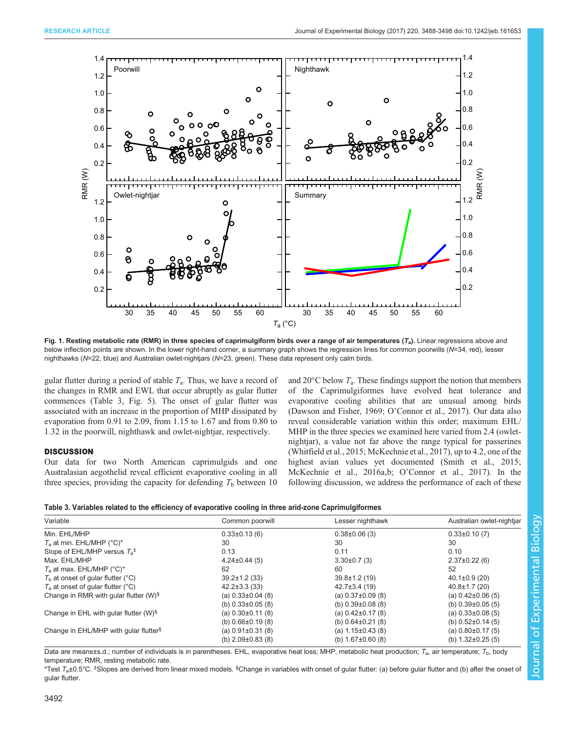<span id="page-4-0"></span>

Fig. 1. Resting metabolic rate (RMR) in three species of caprimulgiform birds over a range of air temperatures  $(T_a)$ . Linear regressions above and below inflection points are shown. In the lower right-hand corner, a summary graph shows the regression lines for common poorwills (N=34, red), lesser nighthawks (N=22, blue) and Australian owlet-nightjars (N=23, green). These data represent only calm birds.

gular flutter during a period of stable  $T_a$ . Thus, we have a record of the changes in RMR and EWL that occur abruptly as gular flutter commences (Table 3, [Fig. 5](#page-8-0)). The onset of gular flutter was associated with an increase in the proportion of MHP dissipated by evaporation from 0.91 to 2.09, from 1.15 to 1.67 and from 0.80 to 1.32 in the poorwill, nighthawk and owlet-nightjar, respectively.

# **DISCUSSION**

Our data for two North American caprimulgids and one Australasian aegothelid reveal efficient evaporative cooling in all three species, providing the capacity for defending  $T<sub>b</sub>$  between 10 and 20 $\rm ^{\circ}C$  below  $T_{\rm a}$ . These findings support the notion that members of the Caprimulgiformes have evolved heat tolerance and evaporative cooling abilities that are unusual among birds [\(Dawson and Fisher, 1969;](#page-9-0) O'[Connor et al., 2017\)](#page-10-0). Our data also reveal considerable variation within this order; maximum EHL/ MHP in the three species we examined here varied from 2.4 (owletnightjar), a value not far above the range typical for passerines [\(Whitfield et al., 2015](#page-10-0); [McKechnie et al., 2017](#page-10-0)), up to 4.2, one of the highest avian values yet documented ([Smith et al., 2015](#page-10-0); [McKechnie et al., 2016a](#page-10-0),[b](#page-10-0); O'[Connor et al., 2017\)](#page-10-0). In the following discussion, we address the performance of each of these

| Table 3. Variables related to the efficiency of evaporative cooling in three arid-zone Caprimulgiformes |  |  |  |
|---------------------------------------------------------------------------------------------------------|--|--|--|
|---------------------------------------------------------------------------------------------------------|--|--|--|

| Variable                                          | Common poorwill         | Lesser nighthawk        | Australian owlet-nightiar |
|---------------------------------------------------|-------------------------|-------------------------|---------------------------|
| Min. EHL/MHP                                      | $0.33\pm0.13(6)$        | $0.38\pm0.06(3)$        | $0.33\pm0.10(7)$          |
| $T_a$ at min. EHL/MHP (°C)*                       | 30                      | 30                      | 30                        |
| Slope of EHL/MHP versus $T_a^{\ddagger}$          | 0.13                    | 0.11                    | 0.10                      |
| Max. EHL/MHP                                      | $4.24 \pm 0.44(5)$      | $3.30\pm0.7(3)$         | $2.37\pm0.22(6)$          |
| $T_a$ at max. EHL/MHP (°C)*                       | 62                      | 60                      | 52                        |
| $Tb$ at onset of gular flutter (°C)               | $39.2 \pm 1.2$ (33)     | $39.8 \pm 1.2$ (19)     | $40.1 \pm 0.9$ (20)       |
| $T_a$ at onset of gular flutter (°C)              | $42.2 \pm 3.3$ (33)     | $42.7\pm3.4(19)$        | $40.8 \pm 1.7(20)$        |
| Change in RMR with gular flutter (W) <sup>§</sup> | (a) $0.33\pm0.04$ (8)   | (a) $0.37\pm0.09$ (8)   | (a) $0.42\pm0.06(5)$      |
|                                                   | (b) $0.33\pm0.05$ (8)   | (b) $0.39\pm0.08$ (8)   | (b) $0.39\pm0.05(5)$      |
| Change in EHL with gular flutter $(W)^{\S}$       | (a) $0.30\pm0.11$ (8)   | (a) $0.42\pm0.17(8)$    | (a) $0.33\pm0.08$ (5)     |
|                                                   | (b) $0.66 \pm 0.19$ (8) | (b) $0.64 \pm 0.21$ (8) | (b) $0.52\pm0.14$ (5)     |
| Change in EHL/MHP with gular flutter <sup>§</sup> | (a) $0.91 \pm 0.31$ (8) | (a) $1.15\pm0.43$ (8)   | (a) $0.80\pm0.17(5)$      |
|                                                   | (b) $2.09\pm0.83$ (8)   | (b) $1.67 \pm 0.60$ (8) | (b) $1.32 \pm 0.25$ (5)   |

Data are means±s.d.; number of individuals is in parentheses. EHL, evaporative heat loss; MHP, metabolic heat production;  $T_a$ , air temperature;  $T_b$ , body temperature; RMR, resting metabolic rate.

\*Test  $\mathcal{T}_\mathtt{a}\mathtt{±}0.5^\circ\mathbb{C}.$   $\mathop{\vphantom {^\circ}}\mathsf{5}$  are derived from linear mixed models.  $\mathop{\vphantom {^\circ}}\mathsf{5}$  Change in variables with onset of gular flutter: (a) before gular flutter and (b) after the onset of gular flutter.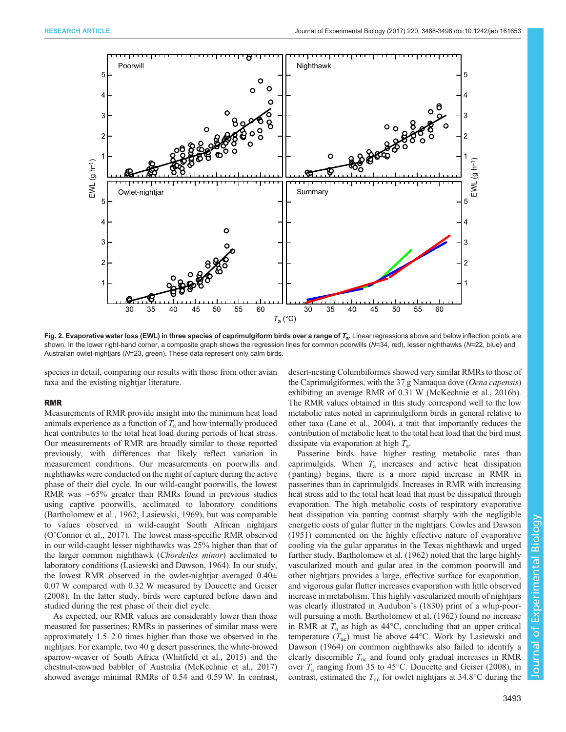<span id="page-5-0"></span>

Fig. 2. Evaporative water loss (EWL) in three species of caprimulgiform birds over a range of  $T_a$ . Linear regressions above and below inflection points are shown. In the lower right-hand corner, a composite graph shows the regression lines for common poorwills (N=34, red), lesser nighthawks (N=22, blue) and Australian owlet-nightjars (N=23, green). These data represent only calm birds.

species in detail, comparing our results with those from other avian taxa and the existing nightjar literature.

## RMR

Measurements of RMR provide insight into the minimum heat load animals experience as a function of  $T_a$  and how internally produced heat contributes to the total heat load during periods of heat stress. Our measurements of RMR are broadly similar to those reported previously, with differences that likely reflect variation in measurement conditions. Our measurements on poorwills and nighthawks were conducted on the night of capture during the active phase of their diel cycle. In our wild-caught poorwills, the lowest RMR was ∼65% greater than RMRs found in previous studies using captive poorwills, acclimated to laboratory conditions [\(Bartholomew et al., 1962; Lasiewski, 1969\)](#page-9-0), but was comparable to values observed in wild-caught South African nightjars (O'[Connor et al., 2017](#page-10-0)). The lowest mass-specific RMR observed in our wild-caught lesser nighthawks was 25% higher than that of the larger common nighthawk (Chordeiles minor) acclimated to laboratory conditions [\(Lasiewski and Dawson, 1964](#page-9-0)). In our study, the lowest RMR observed in the owlet-nightjar averaged  $0.40\pm$ 0.07 W compared with 0.32 W measured by [Doucette and Geiser](#page-9-0) [\(2008\)](#page-9-0). In the latter study, birds were captured before dawn and studied during the rest phase of their diel cycle.

As expected, our RMR values are considerably lower than those measured for passerines; RMRs in passerines of similar mass were approximately 1.5–2.0 times higher than those we observed in the nightjars. For example, two 40 g desert passerines, the white-browed sparrow-weaver of South Africa [\(Whitfield et al., 2015\)](#page-10-0) and the chestnut-crowned babbler of Australia [\(McKechnie et al., 2017\)](#page-10-0) showed average minimal RMRs of 0.54 and 0.59 W. In contrast, desert-nesting Columbiformes showed very similar RMRs to those of the Caprimulgiformes, with the 37 g Namaqua dove (Oena capensis) exhibiting an average RMR of 0.31 W (McKechnie et al., 2016b). The RMR values obtained in this study correspond well to the low metabolic rates noted in caprimulgiform birds in general relative to other taxa ([Lane et al., 2004\)](#page-9-0), a trait that importantly reduces the contribution of metabolic heat to the total heat load that the bird must dissipate via evaporation at high  $T_a$ .

Passerine birds have higher resting metabolic rates than caprimulgids. When  $T_a$  increases and active heat dissipation ( panting) begins, there is a more rapid increase in RMR in passerines than in caprimulgids. Increases in RMR with increasing heat stress add to the total heat load that must be dissipated through evaporation. The high metabolic costs of respiratory evaporative heat dissipation via panting contrast sharply with the negligible energetic costs of gular flutter in the nightjars. [Cowles and Dawson](#page-9-0) [\(1951\)](#page-9-0) commented on the highly effective nature of evaporative cooling via the gular apparatus in the Texas nighthawk and urged further study. [Bartholomew et al. \(1962\)](#page-9-0) noted that the large highly vascularized mouth and gular area in the common poorwill and other nightjars provides a large, effective surface for evaporation, and vigorous gular flutter increases evaporation with little observed increase in metabolism. This highly vascularized mouth of nightjars was clearly illustrated in [Audubon](#page-9-0)'s (1830) print of a whip-poorwill pursuing a moth. [Bartholomew et al. \(1962\)](#page-9-0) found no increase in RMR at  $T_a$  as high as 44 $\degree$ C, concluding that an upper critical temperature  $(T_{\text{uc}})$  must lie above 44°C. Work by [Lasiewski and](#page-9-0) [Dawson \(1964\)](#page-9-0) on common nighthawks also failed to identify a clearly discernible  $T_{\text{uc}}$  and found only gradual increases in RMR over  $T_a$  ranging from 35 to 45°C. [Doucette and Geiser \(2008\)](#page-9-0), in contrast, estimated the  $T_{\text{uc}}$  for owlet nightjars at 34.8°C during the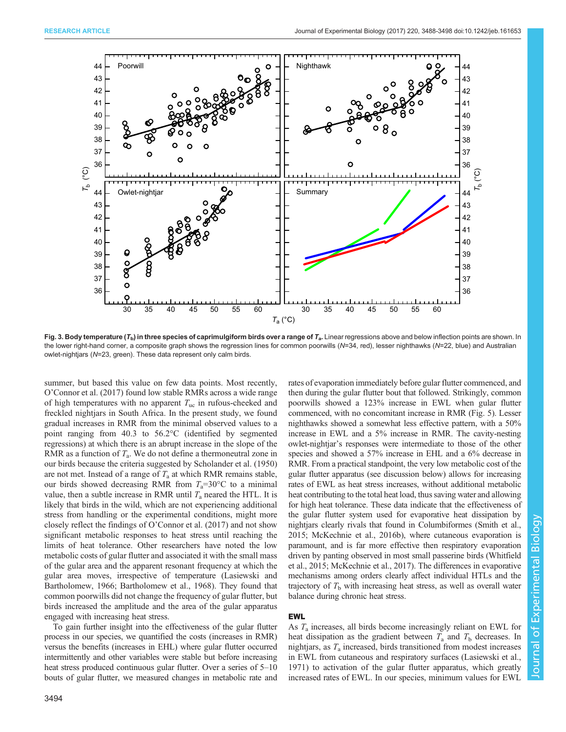<span id="page-6-0"></span>

Fig. 3. Body temperature ( $T<sub>b</sub>$ ) in three species of caprimulgiform birds over a range of  $T<sub>a</sub>$ . Linear regressions above and below inflection points are shown. In the lower right-hand corner, a composite graph shows the regression lines for common poorwills (N=34, red), lesser nighthawks (N=22, blue) and Australian owlet-nightjars (N=23, green). These data represent only calm birds.

summer, but based this value on few data points. Most recently, O'[Connor et al. \(2017\)](#page-10-0) found low stable RMRs across a wide range of high temperatures with no apparent  $T_{uc}$  in rufous-cheeked and freckled nightjars in South Africa. In the present study, we found gradual increases in RMR from the minimal observed values to a point ranging from 40.3 to 56.2°C (identified by segmented regressions) at which there is an abrupt increase in the slope of the RMR as a function of  $T_a$ . We do not define a thermoneutral zone in our birds because the criteria suggested by [Scholander et al. \(1950\)](#page-10-0) are not met. Instead of a range of  $T_a$  at which RMR remains stable, our birds showed decreasing RMR from  $T_a=30^{\circ}\text{C}$  to a minimal value, then a subtle increase in RMR until  $T_a$  neared the HTL. It is likely that birds in the wild, which are not experiencing additional stress from handling or the experimental conditions, might more closely reflect the findings of O'[Connor et al. \(2017\)](#page-10-0) and not show significant metabolic responses to heat stress until reaching the limits of heat tolerance. Other researchers have noted the low metabolic costs of gular flutter and associated it with the small mass of the gular area and the apparent resonant frequency at which the gular area moves, irrespective of temperature ([Lasiewski and](#page-9-0) [Bartholomew, 1966; Bartholomew et al., 1968\)](#page-9-0). They found that common poorwills did not change the frequency of gular flutter, but birds increased the amplitude and the area of the gular apparatus engaged with increasing heat stress.

process in our species, we quantified the costs (increases in RMR) versus the benefits (increases in EHL) where gular flutter occurred intermittently and other variables were stable but before increasing heat stress produced continuous gular flutter. Over a series of 5–10 bouts of gular flutter, we measured changes in metabolic rate and

To gain further insight into the effectiveness of the gular flutter

3494

rates of evaporation immediately before gular flutter commenced, and then during the gular flutter bout that followed. Strikingly, common poorwills showed a 123% increase in EWL when gular flutter commenced, with no concomitant increase in RMR [\(Fig. 5](#page-8-0)). Lesser nighthawks showed a somewhat less effective pattern, with a 50% increase in EWL and a 5% increase in RMR. The cavity-nesting owlet-nightjar's responses were intermediate to those of the other species and showed a 57% increase in EHL and a 6% decrease in RMR. From a practical standpoint, the very low metabolic cost of the gular flutter apparatus (see discussion below) allows for increasing rates of EWL as heat stress increases, without additional metabolic heat contributing to the total heat load, thus saving water and allowing for high heat tolerance. These data indicate that the effectiveness of the gular flutter system used for evaporative heat dissipation by nightjars clearly rivals that found in Columbiformes [\(Smith et al.,](#page-10-0) [2015; McKechnie et al., 2016b\)](#page-10-0), where cutaneous evaporation is paramount, and is far more effective then respiratory evaporation driven by panting observed in most small passerine birds ([Whitfield](#page-10-0) [et al., 2015](#page-10-0); [McKechnie et al., 2017\)](#page-10-0). The differences in evaporative mechanisms among orders clearly affect individual HTLs and the trajectory of  $T<sub>b</sub>$  with increasing heat stress, as well as overall water balance during chronic heat stress.

# EWL

As  $T_a$  increases, all birds become increasingly reliant on EWL for heat dissipation as the gradient between  $T_a$  and  $T_b$  decreases. In nightjars, as  $T_a$  increased, birds transitioned from modest increases in EWL from cutaneous and respiratory surfaces [\(Lasiewski et al.,](#page-9-0) [1971\)](#page-9-0) to activation of the gular flutter apparatus, which greatly increased rates of EWL. In our species, minimum values for EWL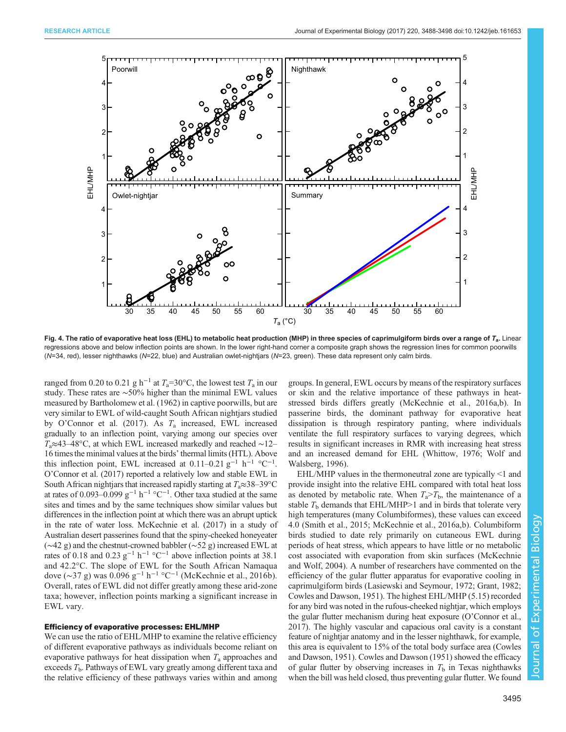<span id="page-7-0"></span>

Fig. 4. The ratio of evaporative heat loss (EHL) to metabolic heat production (MHP) in three species of caprimulgiform birds over a range of  $T_a$ . Linear regressions above and below inflection points are shown. In the lower right-hand corner a composite graph shows the regression lines for common poorwills (N=34, red), lesser nighthawks (N=22, blue) and Australian owlet-nightjars (N=23, green). These data represent only calm birds.

ranged from 0.20 to 0.21 g h<sup>-1</sup> at  $T_a$ =30°C, the lowest test  $T_a$  in our study. These rates are ∼50% higher than the minimal EWL values measured by [Bartholomew et al. \(1962\)](#page-9-0) in captive poorwills, but are very similar to EWL of wild-caught South African nightjars studied by O'[Connor et al. \(2017\)](#page-10-0). As  $T_a$  increased, EWL increased gradually to an inflection point, varying among our species over  $T_a \approx 43-48$ °C, at which EWL increased markedly and reached ~12– 16 times the minimal values at the birds' thermal limits (HTL). Above this inflection point, EWL increased at  $0.11-0.21$  g<sup>-1</sup> h<sup>-1</sup> °C<sup>-1</sup>. O'[Connor et al. \(2017\)](#page-10-0) reported a relatively low and stable EWL in South African nightjars that increased rapidly starting at  $T_a \approx 38-39$ °C at rates of 0.093–0.099 g<sup>-1</sup> h<sup>-1</sup> °C<sup>-1</sup>. Other taxa studied at the same sites and times and by the same techniques show similar values but differences in the inflection point at which there was an abrupt uptick in the rate of water loss. [McKechnie et al. \(2017\)](#page-10-0) in a study of Australian desert passerines found that the spiny-cheeked honeyeater (∼42 g) and the chestnut-crowned babbler (∼52 g) increased EWL at rates of 0.18 and 0.23 g<sup>-1</sup> h<sup>-1</sup> °C<sup>-1</sup> above inflection points at 38.1 and 42.2°C. The slope of EWL for the South African Namaqua dove (∼37 g) was 0.096 g−<sup>1</sup> h−<sup>1</sup> °C−<sup>1</sup> ([McKechnie et al., 2016b](#page-10-0)). Overall, rates of EWL did not differ greatly among these arid-zone taxa; however, inflection points marking a significant increase in EWL vary.

#### Efficiency of evaporative processes: EHL/MHP

We can use the ratio of EHL/MHP to examine the relative efficiency of different evaporative pathways as individuals become reliant on evaporative pathways for heat dissipation when  $T_a$  approaches and exceeds  $T<sub>b</sub>$ . Pathways of EWL vary greatly among different taxa and the relative efficiency of these pathways varies within and among

groups. In general, EWL occurs by means of the respiratory surfaces or skin and the relative importance of these pathways in heatstressed birds differs greatly ([McKechnie et al., 2016a,b](#page-10-0)). In passerine birds, the dominant pathway for evaporative heat dissipation is through respiratory panting, where individuals ventilate the full respiratory surfaces to varying degrees, which results in significant increases in RMR with increasing heat stress and an increased demand for EHL ([Whittow, 1976](#page-10-0); [Wolf and](#page-10-0) [Walsberg, 1996\)](#page-10-0).

EHL/MHP values in the thermoneutral zone are typically <1 and provide insight into the relative EHL compared with total heat loss as denoted by metabolic rate. When  $T_a > T_b$ , the maintenance of a stable  $T<sub>b</sub>$  demands that EHL/MHP>1 and in birds that tolerate very high temperatures (many Columbiformes), these values can exceed 4.0 ([Smith et al., 2015](#page-10-0); [McKechnie et al., 2016a](#page-10-0),[b\)](#page-10-0). Columbiform birds studied to date rely primarily on cutaneous EWL during periods of heat stress, which appears to have little or no metabolic cost associated with evaporation from skin surfaces ([McKechnie](#page-9-0) [and Wolf, 2004](#page-9-0)). A number of researchers have commented on the efficiency of the gular flutter apparatus for evaporative cooling in caprimulgiform birds ([Lasiewski and Seymour, 1972; Grant, 1982](#page-9-0); [Cowles and Dawson, 1951](#page-9-0)). The highest EHL/MHP (5.15) recorded for any bird was noted in the rufous-cheeked nightjar, which employs the gular flutter mechanism during heat exposure (O'[Connor et al.,](#page-10-0) [2017\)](#page-10-0). The highly vascular and capacious oral cavity is a constant feature of nightjar anatomy and in the lesser nighthawk, for example, this area is equivalent to 15% of the total body surface area ([Cowles](#page-9-0) [and Dawson, 1951\)](#page-9-0). [Cowles and Dawson \(1951\)](#page-9-0) showed the efficacy of gular flutter by observing increases in  $T<sub>b</sub>$  in Texas nighthawks when the bill was held closed, thus preventing gular flutter. We found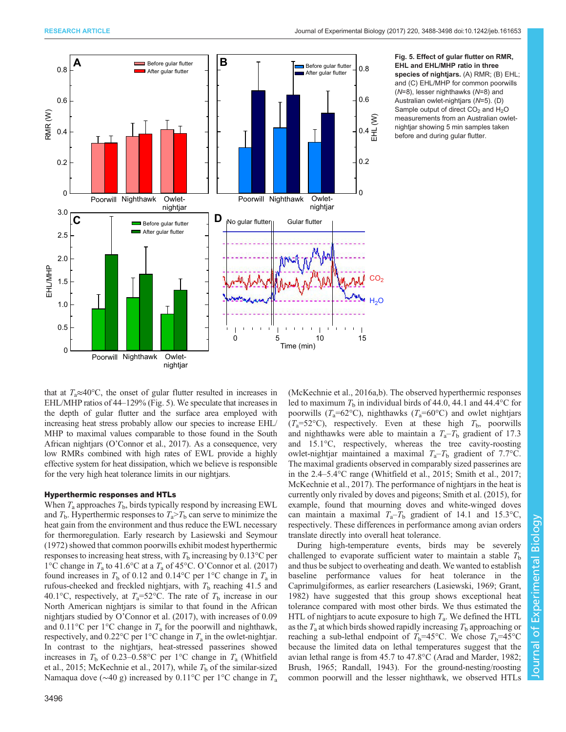<span id="page-8-0"></span>

Fig. 5. Effect of gular flutter on RMR, EHL and EHL/MHP ratio in three species of nightjars. (A) RMR; (B) EHL; and (C) EHL/MHP for common poorwills (N=8), lesser nighthawks (N=8) and Australian owlet-nightjars (N=5). (D) Sample output of direct  $CO<sub>2</sub>$  and  $H<sub>2</sub>O$ measurements from an Australian owletnightjar showing 5 min samples taken before and during gular flutter.

that at  $T_a \approx 40^{\circ}$ C, the onset of gular flutter resulted in increases in EHL/MHP ratios of 44–129% (Fig. 5). We speculate that increases in the depth of gular flutter and the surface area employed with increasing heat stress probably allow our species to increase EHL/ MHP to maximal values comparable to those found in the South African nightjars (O'[Connor et al., 2017](#page-10-0)). As a consequence, very low RMRs combined with high rates of EWL provide a highly effective system for heat dissipation, which we believe is responsible for the very high heat tolerance limits in our nightjars.

## Hyperthermic responses and HTLs

When  $T_a$  approaches  $T_b$ , birds typically respond by increasing EWL and  $T<sub>b</sub>$ . Hyperthermic responses to  $T<sub>a</sub> > T<sub>b</sub>$  can serve to minimize the heat gain from the environment and thus reduce the EWL necessary for thermoregulation. Early research by [Lasiewski and Seymour](#page-9-0) [\(1972\)](#page-9-0) showed that common poorwills exhibit modest hyperthermic responses to increasing heat stress, with  $T<sub>b</sub>$  increasing by 0.13°C per 1°C change in  $T_a$  to 41.6°C at a  $T_a$  of 45°C. O'[Connor et al. \(2017\)](#page-10-0) found increases in  $T<sub>b</sub>$  of 0.12 and 0.14°C per 1°C change in  $T<sub>a</sub>$  in rufous-cheeked and freckled nightjars, with  $T<sub>b</sub>$  reaching 41.5 and 40.1°C, respectively, at  $T_a = 52$ °C. The rate of  $T_b$  increase in our North American nightjars is similar to that found in the African nightjars studied by O'[Connor et al. \(2017\),](#page-10-0) with increases of 0.09 and 0.11 $^{\circ}$ C per 1 $^{\circ}$ C change in  $T_a$  for the poorwill and nighthawk, respectively, and 0.22 $^{\circ}$ C per 1 $^{\circ}$ C change in  $T_a$  in the owlet-nightjar. In contrast to the nightjars, heat-stressed passerines showed increases in  $T_b$  of 0.23–0.58°C per 1°C change in  $T_a$  [\(Whitfield](#page-10-0) [et al., 2015](#page-10-0); [McKechnie et al., 2017](#page-10-0)), while  $T<sub>b</sub>$  of the similar-sized Namaqua dove ( $\sim$ 40 g) increased by 0.11°C per 1°C change in  $T_a$  [\(McKechnie et al., 2016a](#page-10-0),[b](#page-10-0)). The observed hyperthermic responses led to maximum  $T<sub>b</sub>$  in individual birds of 44.0, 44.1 and 44.4°C for poorwills ( $T_a=62^{\circ}$ C), nighthawks ( $T_a=60^{\circ}$ C) and owlet nightjars  $(T_a=52^{\circ}\text{C})$ , respectively. Even at these high  $T_b$ , poorwills and nighthawks were able to maintain a  $T_a - T_b$  gradient of 17.3 and 15.1°C, respectively, whereas the tree cavity-roosting owlet-nightjar maintained a maximal  $T_a - T_b$  gradient of 7.7°C. The maximal gradients observed in comparably sized passerines are in the 2.4–5.4°C range [\(Whitfield et al., 2015](#page-10-0); [Smith et al., 2017](#page-10-0); [McKechnie et al., 2017](#page-10-0)). The performance of nightjars in the heat is currently only rivaled by doves and pigeons; [Smith et al. \(2015\),](#page-10-0) for example, found that mourning doves and white-winged doves can maintain a maximal  $T_a - T_b$  gradient of 14.1 and 15.3°C, respectively. These differences in performance among avian orders translate directly into overall heat tolerance.

During high-temperature events, birds may be severely challenged to evaporate sufficient water to maintain a stable  $T<sub>b</sub>$ and thus be subject to overheating and death. We wanted to establish baseline performance values for heat tolerance in the Caprimulgiformes, as earlier researchers [\(Lasiewski, 1969; Grant,](#page-9-0) [1982\)](#page-9-0) have suggested that this group shows exceptional heat tolerance compared with most other birds. We thus estimated the HTL of nightjars to acute exposure to high  $T_a$ . We defined the HTL as the  $T_a$  at which birds showed rapidly increasing  $T_b$  approaching or reaching a sub-lethal endpoint of  $T<sub>b</sub>=45^{\circ}$ C. We chose  $T<sub>b</sub>=45^{\circ}$ C because the limited data on lethal temperatures suggest that the avian lethal range is from 45.7 to 47.8°C [\(Arad and Marder, 1982](#page-9-0); [Brush, 1965;](#page-9-0) [Randall, 1943\)](#page-10-0). For the ground-nesting/roosting common poorwill and the lesser nighthawk, we observed HTLs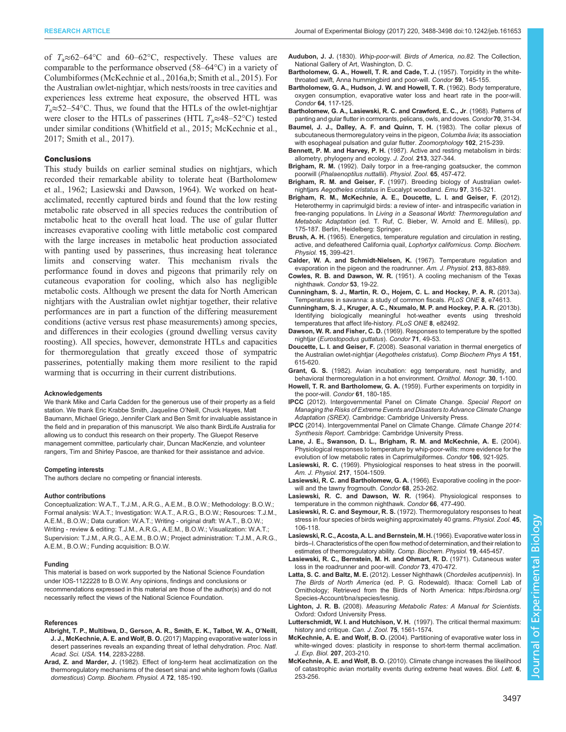<span id="page-9-0"></span>RESEARCH ARTICLE **ARTICLE** ARTICLE ARTICLE **Journal of Experimental Biology (2017)** 220, 3488-3498 doi:10.1242/jeb.161653

of  $T_a \approx 62-64$ °C and 60–62°C, respectively. These values are comparable to the performance observed (58–64°C) in a variety of Columbiformes ([McKechnie et al., 2016a,b](#page-10-0); [Smith et al., 2015\)](#page-10-0). For the Australian owlet-nightjar, which nests/roosts in tree cavities and experiences less extreme heat exposure, the observed HTL was  $T_a \approx 52-54$ °C. Thus, we found that the HTLs of the owlet-nightjar were closer to the HTLs of passerines (HTL  $T_a \approx 48-52$ °C) tested under similar conditions ([Whitfield et al., 2015](#page-10-0); [McKechnie et al.,](#page-10-0) [2017](#page-10-0); [Smith et al., 2017\)](#page-10-0).

#### **Conclusions**

This study builds on earlier seminal studies on nightjars, which recorded their remarkable ability to tolerate heat (Bartholomew et al., 1962; Lasiewski and Dawson, 1964). We worked on heatacclimated, recently captured birds and found that the low resting metabolic rate observed in all species reduces the contribution of metabolic heat to the overall heat load. The use of gular flutter increases evaporative cooling with little metabolic cost compared with the large increases in metabolic heat production associated with panting used by passerines, thus increasing heat tolerance limits and conserving water. This mechanism rivals the performance found in doves and pigeons that primarily rely on cutaneous evaporation for cooling, which also has negligible metabolic costs. Although we present the data for North American nightjars with the Australian owlet nightjar together, their relative performances are in part a function of the differing measurement conditions (active versus rest phase measurements) among species, and differences in their ecologies (ground dwelling versus cavity roosting). All species, however, demonstrate HTLs and capacities for thermoregulation that greatly exceed those of sympatric passerines, potentially making them more resilient to the rapid warming that is occurring in their current distributions.

#### Acknowledgements

We thank Mike and Carla Cadden for the generous use of their property as a field station. We thank Eric Krabbe Smith, Jaqueline O'Neill, Chuck Hayes, Matt Baumann, Michael Griego, Jennifer Clark and Ben Smit for invaluable assistance in the field and in preparation of this manuscript. We also thank BirdLife Australia for allowing us to conduct this research on their property. The Gluepot Reserve management committee, particularly chair, Duncan MacKenzie, and volunteer rangers, Tim and Shirley Pascoe, are thanked for their assistance and advice.

#### Competing interests

The authors declare no competing or financial interests.

#### Author contributions

Conceptualization: W.A.T., T.J.M., A.R.G., A.E.M., B.O.W.; Methodology: B.O.W.; Formal analysis: W.A.T.; Investigation: W.A.T., A.R.G., B.O.W.; Resources: T.J.M., A.E.M., B.O.W.; Data curation: W.A.T.; Writing - original draft: W.A.T., B.O.W.; Writing - review & editing: T.J.M., A.R.G., A.E.M., B.O.W.; Visualization: W.A.T.; Supervision: T.J.M., A.R.G., A.E.M., B.O.W.; Project administration: T.J.M., A.R.G., A.E.M., B.O.W.; Funding acquisition: B.O.W.

#### Funding

This material is based on work supported by the National Science Foundation under IOS-1122228 to B.O.W. Any opinions, findings and conclusions or recommendations expressed in this material are those of the author(s) and do not necessarily reflect the views of the National Science Foundation.

#### References

- [Albright, T. P., Multibwa, D., Gerson, A. R., Smith, E. K., Talbot, W. A., O](http://dx.doi.org/10.1073/pnas.1613625114)'Neill, J. J., McKechnie, A. E. and Wolf, B. O. [\(2017\) Mapping evaporative water loss in](http://dx.doi.org/10.1073/pnas.1613625114) [desert passerines reveals an expanding threat of lethal dehydration.](http://dx.doi.org/10.1073/pnas.1613625114) Proc. Natl. [Acad. Sci. USA.](http://dx.doi.org/10.1073/pnas.1613625114) 114, 2283-2288.
- Arad, Z. and Marder, J. [\(1982\). Effect of long-term heat acclimatization on the](http://dx.doi.org/10.1016/0300-9629(82)90030-5) [thermoregulatory mechanisms of the desert sinai and white leghorn fowls \(](http://dx.doi.org/10.1016/0300-9629(82)90030-5)Gallus domesticus) [Comp. Biochem. Physiol. A](http://dx.doi.org/10.1016/0300-9629(82)90030-5) 72, 185-190.
- Audubon, J. J. (1830). Whip-poor-will. Birds of America, no.82. The Collection, National Gallery of Art, Washington, D. C.
- [Bartholomew, G. A., Howell, T. R. and Cade, T. J.](http://dx.doi.org/10.2307/1364720) (1957). Torpidity in the white[throated swift, Anna hummingbird and poor-will.](http://dx.doi.org/10.2307/1364720) Condor 59, 145-155.
- [Bartholomew, G. A., Hudson, J. W. and Howell, T. R.](http://dx.doi.org/10.2307/1365480) (1962). Body temperature, [oxygen consumption, evaporative water loss and heart rate in the poor-will.](http://dx.doi.org/10.2307/1365480) Condor 64[, 117-125.](http://dx.doi.org/10.2307/1365480)
- [Bartholomew, G. A., Lasiewski, R. C. and Crawford, E. C., Jr](http://dx.doi.org/10.2307/1366506). (1968). Patterns of [panting and gular flutter in cormorants, pelicans, owls, and doves.](http://dx.doi.org/10.2307/1366506) Condor 70, 31-34.
- [Baumel, J. J., Dalley, A. F. and Quinn, T. H.](http://dx.doi.org/10.1007/BF00310349) (1983). The collar plexus of [subcutaneous thermoregulatory veins in the pigeon,](http://dx.doi.org/10.1007/BF00310349) Columba livia; its association [with esophageal pulsation and gular flutter.](http://dx.doi.org/10.1007/BF00310349) Zoomorphology 102, 215-239.
- Bennett, P. M. and Harvey, P. H. [\(1987\). Active and resting metabolism in birds:](http://dx.doi.org/10.1111/j.1469-7998.1987.tb03708.x) [allometry, phylogeny and ecology.](http://dx.doi.org/10.1111/j.1469-7998.1987.tb03708.x) J. Zool. 213, 327-344.
- Brigham, R. M. [\(1992\). Daily torpor in a free-ranging goatsucker, the common](http://dx.doi.org/10.1086/physzool.65.2.30158263) poorwill ([Phalaenoptilus nuttallii](http://dx.doi.org/10.1086/physzool.65.2.30158263)). Physiol. Zool. 65, 457-472.
- Brigham, R. M. and Geiser, F. [\(1997\). Breeding biology of Australian owlet](http://dx.doi.org/10.1071/MU97046)nightjars Aegotheles cristatus [in Eucalypt woodland.](http://dx.doi.org/10.1071/MU97046) Emu 97, 316-321.
- Brigham, R. M., McKechnie, A. E., Doucette, L. I. and Geiser, F. (2012). Heterothermy in caprimulgid birds: a review of inter- and intraspecific variation in free-ranging populations. In Living in a Seasonal World: Thermoregulation and Metabolic Adaptation (ed. T. Ruf, C. Bieber, W. Arnold and E. Millesi), pp. 175-187. Berlin, Heidelberg: Springer.
- Brush, A. H. [\(1965\). Energetics, temperature regulation and circulation in resting,](http://dx.doi.org/10.1016/0010-406X(65)90141-6) active, and defeathered California quail, [Lophortyx californicus. Comp. Biochem.](http://dx.doi.org/10.1016/0010-406X(65)90141-6) Physiol. 15[, 399-421.](http://dx.doi.org/10.1016/0010-406X(65)90141-6)
- Calder, W. A. and Schmidt-Nielsen, K. (1967). Temperature regulation and evaporation in the pigeon and the roadrunner. Am. J. Physiol. 213, 883-889.
- Cowles, R. B. and Dawson, W. R. [\(1951\). A cooling mechanism of the Texas](http://dx.doi.org/10.2307/1364583) [nighthawk.](http://dx.doi.org/10.2307/1364583) Condor 53, 19-22.
- [Cunningham, S. J., Martin, R. O., Hojem, C. L. and Hockey, P. A. R.](http://dx.doi.org/10.1371/journal.pone.0074613) (2013a). [Temperatures in savanna: a study of common fiscals.](http://dx.doi.org/10.1371/journal.pone.0074613) PLoS ONE 8, e74613.
- [Cunningham, S. J., Kruger, A. C., Nxumalo, M. P. and Hockey, P. A. R.](http://dx.doi.org/10.1371/journal.pone.0082492) (2013b). [Identifying biologically meaningful hot-weather events using threshold](http://dx.doi.org/10.1371/journal.pone.0082492) [temperatures that affect life-history.](http://dx.doi.org/10.1371/journal.pone.0082492) PLoS ONE 8, e82492.
- Dawson, W. R. and Fisher, C. D. [\(1969\). Responses to temperature by the spotted](http://dx.doi.org/10.2307/1366047) nightjar ([Eurostopodus guttatus](http://dx.doi.org/10.2307/1366047)). Condor 71, 49-53.
- Doucette, L. I. and Geiser, F. [\(2008\). Seasonal variation in thermal energetics of](http://dx.doi.org/10.1016/j.cbpa.2008.07.025) [the Australian owlet-nightjar \(](http://dx.doi.org/10.1016/j.cbpa.2008.07.025)Aegotheles cristatus). Comp Biochem Phys A 151, [615-620.](http://dx.doi.org/10.1016/j.cbpa.2008.07.025)
- Grant, G. S. (1982). Avian incubation: egg temperature, nest humidity, and behavioral thermoregulation in a hot environment. Ornithol. Monogr. 30, 1-100.
- Howell, T. R. and Bartholomew, G. A. [\(1959\). Further experiments on torpidity in](http://dx.doi.org/10.2307/1365534) [the poor-will.](http://dx.doi.org/10.2307/1365534) Condor 61, 180-185.
- IPCC (2012). Intergovernmental Panel on Climate Change. Special Report on Managing the Risks of Extreme Events and Disasters to Advance Climate Change Adaptation (SREX). Cambridge: Cambridge University Press.
- IPCC (2014). Intergovernmental Panel on Climate Change. Climate Change 2014: Synthesis Report. Cambridge: Cambridge University Press.
- [Lane, J. E., Swanson, D. L., Brigham, R. M. and McKechnie, A. E.](http://dx.doi.org/10.1650/7521) (2004). [Physiological responses to temperature by whip-poor-wills: more evidence for the](http://dx.doi.org/10.1650/7521) [evolution of low metabolic rates in Caprimulgiformes.](http://dx.doi.org/10.1650/7521) Condor 106, 921-925.
- Lasiewski, R. C. (1969). Physiological responses to heat stress in the poorwill. Am. J. Physiol. 217, 1504-1509.
- [Lasiewski, R. C. and Bartholomew, G. A.](http://dx.doi.org/10.2307/1365559) (1966). Evaporative cooling in the poor[will and the tawny frogmouth.](http://dx.doi.org/10.2307/1365559) Condor 68, 253-262.
- [Lasiewski, R. C. and Dawson, W. R.](http://dx.doi.org/10.2307/1365224) (1964). Physiological responses to [temperature in the common nighthawk.](http://dx.doi.org/10.2307/1365224) Condor 66, 477-490.
- Lasiewski, R. C. and Seymour, R. S. [\(1972\). Thermoregulatory responses to heat](http://dx.doi.org/10.1086/physzool.45.2.30155574) [stress in four species of birds weighing approximately 40 grams.](http://dx.doi.org/10.1086/physzool.45.2.30155574) Physiol. Zool. 45, [106-118.](http://dx.doi.org/10.1086/physzool.45.2.30155574)
- Lasiewski, R. C., Acosta, A. L. and Bernstein, M. H.(1966). Evaporative water loss in birds–I. Characteristics of the open flow method of determination, and their relation to estimates of thermoregulatory ability. Comp. Biochem. Physiol. 19, 445-457.
- [Lasiewski, R. C., Bernstein, M. H. and Ohmart, R. D.](http://dx.doi.org/10.2307/1366670) (1971). Cutaneous water [loss in the roadrunner and poor-will.](http://dx.doi.org/10.2307/1366670) Condor 73, 470-472.
- [Latta, S. C. and Baltz, M. E.](http://dx.doi.org/10.2173/bna.314) (2012). Lesser Nighthawk (Chordeiles acutipennis). In The Birds of North America [\(ed. P. G. Rodewald\). Ithaca: Cornell Lab of](http://dx.doi.org/10.2173/bna.314) [Ornithology; Retrieved from the Birds of North America: https://birdsna.org/](https://birdsna.org/Species-Account/bna/species/lesnig) [Species-Account/bna/species/lesnig.](http://dx.doi.org/10.2173/bna.314)
- Lighton, J. R. B. (2008). Measuring Metabolic Rates: A Manual for Scientists. Oxford: Oxford University Press.
- [Lutterschmidt, W. I. and Hutchison, V. H.](http://dx.doi.org/10.1139/z97-783) (1997). The critical thermal maximum: [history and critique.](http://dx.doi.org/10.1139/z97-783) Can. J. Zool. 75, 1561-1574.
- McKechnie, A. E. and Wolf, B. O. [\(2004\). Partitioning of evaporative water loss in](http://dx.doi.org/10.1242/jeb.00757) [white-winged doves: plasticity in response to short-term thermal acclimation.](http://dx.doi.org/10.1242/jeb.00757) [J. Exp. Biol.](http://dx.doi.org/10.1242/jeb.00757) 207. 203-210.
- McKechnie, A. E. and Wolf, B. O. [\(2010\). Climate change increases the likelihood](http://dx.doi.org/10.1098/rsbl.2009.0702) [of catastrophic avian mortality events during extreme heat waves.](http://dx.doi.org/10.1098/rsbl.2009.0702) Biol. Lett. 6, [253-256.](http://dx.doi.org/10.1098/rsbl.2009.0702)